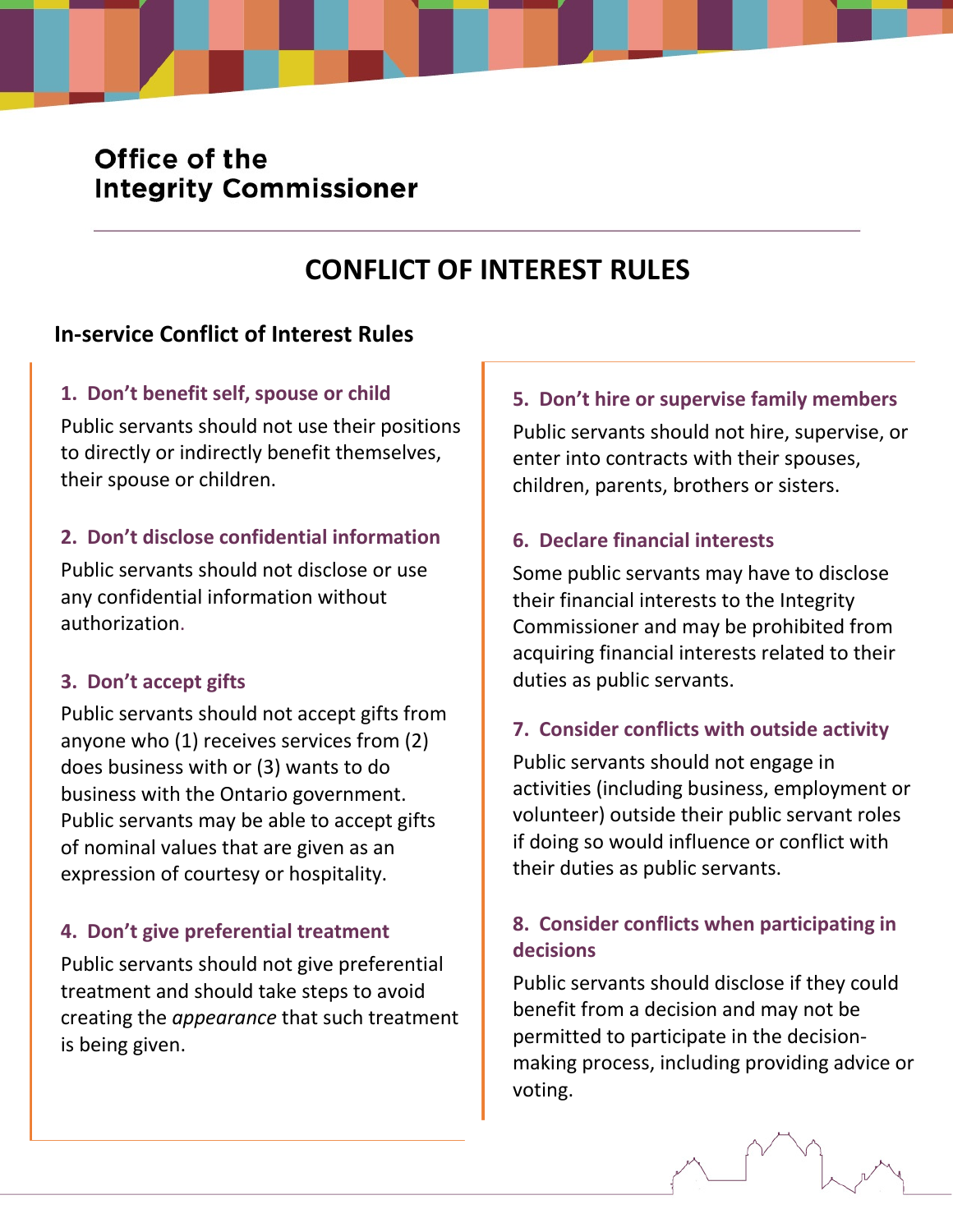# Office of the **Integrity Commissioner**

# **CONFLICT OF INTEREST RULES**

# **In-service Conflict of Interest Rules**

## **1. Don't benefit self, spouse or child**

Public servants should not use their positions to directly or indirectly benefit themselves, their spouse or children.

## **2. Don't disclose confidential information**

Public servants should not disclose or use any confidential information without authorization.

## **3. Don't accept gifts**

Public servants should not accept gifts from anyone who (1) receives services from (2) does business with or (3) wants to do business with the Ontario government. Public servants may be able to accept gifts of nominal values that are given as an expression of courtesy or hospitality.

## **4. Don't give preferential treatment**

Public servants should not give preferential treatment and should take steps to avoid creating the *appearance* that such treatment is being given.

## **5. Don't hire or supervise family members**

Public servants should not hire, supervise, or enter into contracts with their spouses, children, parents, brothers or sisters.

#### **6. Declare financial interests**

Some public servants may have to disclose their financial interests to the Integrity Commissioner and may be prohibited from acquiring financial interests related to their duties as public servants.

## **7. Consider conflicts with outside activity**

Public servants should not engage in activities (including business, employment or volunteer) outside their public servant roles if doing so would influence or conflict with their duties as public servants.

## **8. Consider conflicts when participating in decisions**

Public servants should disclose if they could benefit from a decision and may not be permitted to participate in the decisionmaking process, including providing advice or voting.